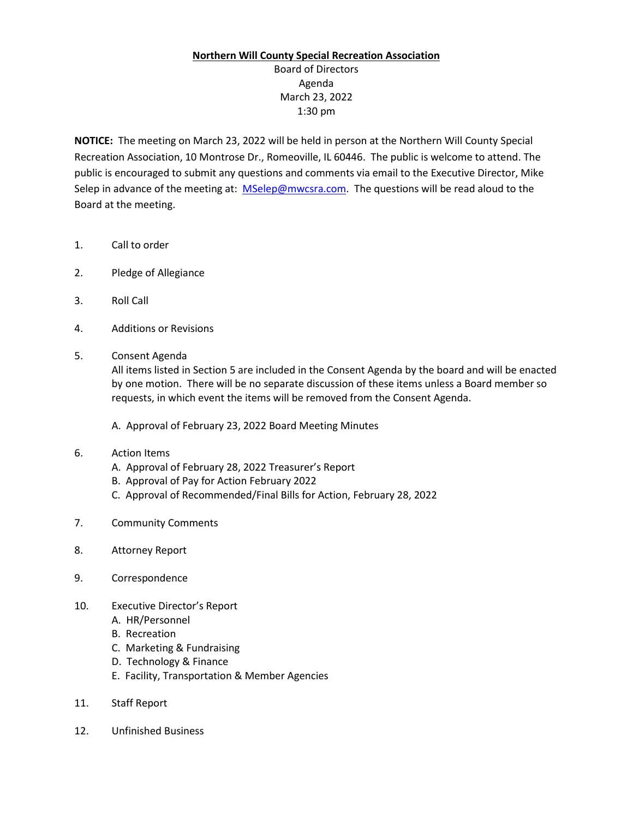## **Northern Will County Special Recreation Association**

Board of Directors Agenda March 23, 2022 1:30 pm

**NOTICE:** The meeting on March 23, 2022 will be held in person at the Northern Will County Special Recreation Association, 10 Montrose Dr., Romeoville, IL 60446. The public is welcome to attend. The public is encouraged to submit any questions and comments via email to the Executive Director, Mike Selep in advance of the meeting at: [MSelep@mwcsra.com.](mailto:MSelep@mwcsra.com) The questions will be read aloud to the Board at the meeting.

- 1. Call to order
- 2. Pledge of Allegiance
- 3. Roll Call
- 4. Additions or Revisions
- 5. Consent Agenda

All items listed in Section 5 are included in the Consent Agenda by the board and will be enacted by one motion. There will be no separate discussion of these items unless a Board member so requests, in which event the items will be removed from the Consent Agenda.

A. Approval of February 23, 2022 Board Meeting Minutes

## 6. Action Items

- A. Approval of February 28, 2022 Treasurer's Report
- B. Approval of Pay for Action February 2022
- C. Approval of Recommended/Final Bills for Action, February 28, 2022
- 7. Community Comments
- 8. Attorney Report
- 9. Correspondence
- 10. Executive Director's Report
	- A. HR/Personnel
	- B. Recreation
	- C. Marketing & Fundraising
	- D. Technology & Finance
	- E. Facility, Transportation & Member Agencies
- 11. Staff Report
- 12. Unfinished Business